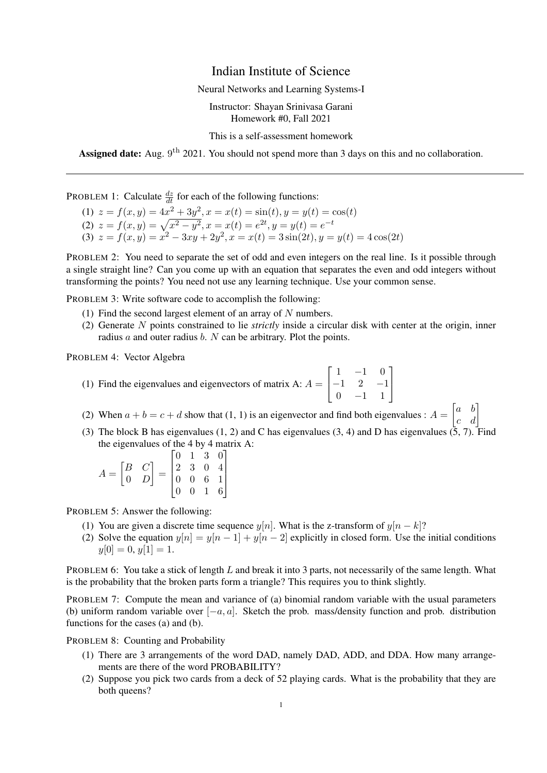## Indian Institute of Science

Neural Networks and Learning Systems-I

Instructor: Shayan Srinivasa Garani Homework #0, Fall 2021

This is a self-assessment homework

Assigned date: Aug. 9<sup>th</sup> 2021. You should not spend more than 3 days on this and no collaboration.

PROBLEM 1: Calculate  $\frac{dz}{dt}$  for each of the following functions:

(1)  $z = f(x, y) = 4x^2 + 3y^2, x = x(t) = \sin(t), y = y(t) = \cos(t)$ (2)  $z = f(x, y) = \sqrt{x^2 - y^2}, x = x(t) = e^{2t}, y = y(t) = e^{-t}$ (3)  $z = f(x, y) = x^2 - 3xy + 2y^2, x = x(t) = 3\sin(2t), y = y(t) = 4\cos(2t)$ 

PROBLEM 2: You need to separate the set of odd and even integers on the real line. Is it possible through a single straight line? Can you come up with an equation that separates the even and odd integers without transforming the points? You need not use any learning technique. Use your common sense.

PROBLEM 3: Write software code to accomplish the following:

- (1) Find the second largest element of an array of  $N$  numbers.
- (2) Generate N points constrained to lie *strictly* inside a circular disk with center at the origin, inner radius  $a$  and outer radius  $b$ .  $N$  can be arbitrary. Plot the points.

PROBLEM 4: Vector Algebra

- (1) Find the eigenvalues and eigenvectors of matrix A:  $A =$  $\sqrt{ }$  $\overline{\phantom{a}}$  $1 -1 0$  $-1$  2  $-1$ 0 −1 1 1  $\overline{\phantom{a}}$
- (2) When  $a + b = c + d$  show that (1, 1) is an eigenvector and find both eigenvalues :  $A = \begin{bmatrix} a & b \\ c & d \end{bmatrix}$
- (3) The block B has eigenvalues (1, 2) and C has eigenvalues (3, 4) and D has eigenvalues (5, 7). Find the eigenvalues of the 4 by 4 matrix A:

$$
A = \begin{bmatrix} B & C \\ 0 & D \end{bmatrix} = \begin{bmatrix} 0 & 1 & 3 & 0 \\ 2 & 3 & 0 & 4 \\ 0 & 0 & 6 & 1 \\ 0 & 0 & 1 & 6 \end{bmatrix}
$$

PROBLEM 5: Answer the following:

- (1) You are given a discrete time sequence  $y[n]$ . What is the z-transform of  $y[n k]$ ?
- (2) Solve the equation  $y[n] = y[n-1] + y[n-2]$  explicitly in closed form. Use the initial conditions  $y[0] = 0, y[1] = 1.$

PROBLEM 6: You take a stick of length L and break it into 3 parts, not necessarily of the same length. What is the probability that the broken parts form a triangle? This requires you to think slightly.

PROBLEM 7: Compute the mean and variance of (a) binomial random variable with the usual parameters (b) uniform random variable over  $[-a, a]$ . Sketch the prob. mass/density function and prob. distribution functions for the cases (a) and (b).

PROBLEM 8: Counting and Probability

- (1) There are 3 arrangements of the word DAD, namely DAD, ADD, and DDA. How many arrangements are there of the word PROBABILITY?
- (2) Suppose you pick two cards from a deck of 52 playing cards. What is the probability that they are both queens?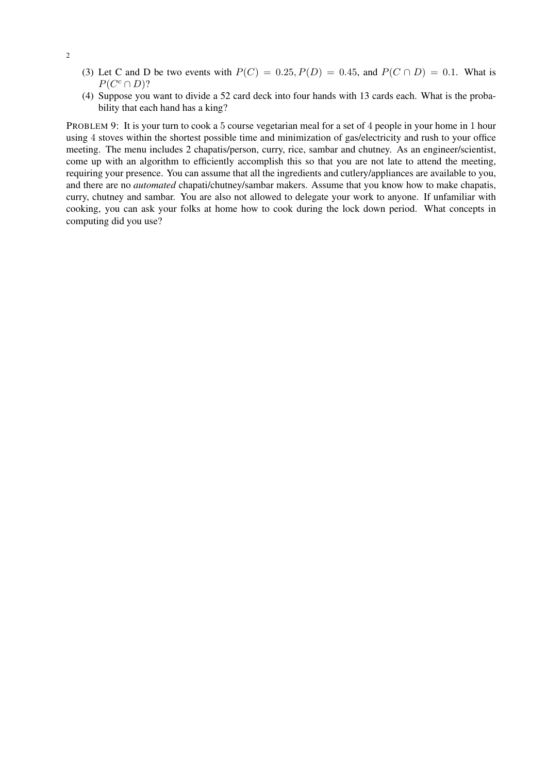- (3) Let C and D be two events with  $P(C) = 0.25$ ,  $P(D) = 0.45$ , and  $P(C \cap D) = 0.1$ . What is  $P(C^c \cap D)$ ?
- (4) Suppose you want to divide a 52 card deck into four hands with 13 cards each. What is the probability that each hand has a king?

PROBLEM 9: It is your turn to cook a 5 course vegetarian meal for a set of 4 people in your home in 1 hour using 4 stoves within the shortest possible time and minimization of gas/electricity and rush to your office meeting. The menu includes 2 chapatis/person, curry, rice, sambar and chutney. As an engineer/scientist, come up with an algorithm to efficiently accomplish this so that you are not late to attend the meeting, requiring your presence. You can assume that all the ingredients and cutlery/appliances are available to you, and there are no *automated* chapati/chutney/sambar makers. Assume that you know how to make chapatis, curry, chutney and sambar. You are also not allowed to delegate your work to anyone. If unfamiliar with cooking, you can ask your folks at home how to cook during the lock down period. What concepts in computing did you use?